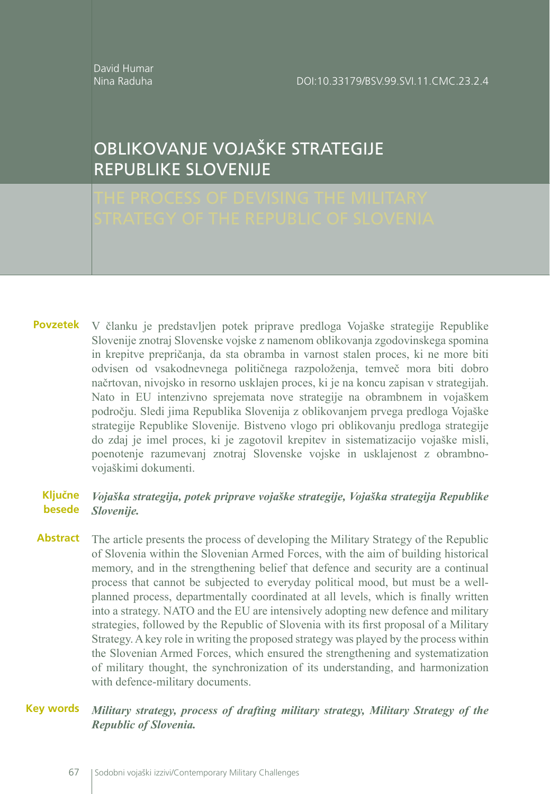David Humar Nina Raduha

DOI:10.33179/BSV.99.SVI.11.CMC.23.2.4

# OBLIKOVANJE VOJAŠKE STRATEGIJE REPUBLIKE SLOVENIJE

V članku je predstavljen potek priprave predloga Vojaške strategije Republike **Povzetek** Slovenije znotraj Slovenske vojske z namenom oblikovanja zgodovinskega spomina in krepitve prepričanja, da sta obramba in varnost stalen proces, ki ne more biti odvisen od vsakodnevnega političnega razpoloženja, temveč mora biti dobro načrtovan, nivojsko in resorno usklajen proces, ki je na koncu zapisan v strategijah. Nato in EU intenzivno sprejemata nove strategije na obrambnem in vojaškem področju. Sledi jima Republika Slovenija z oblikovanjem prvega predloga Vojaške strategije Republike Slovenije. Bistveno vlogo pri oblikovanju predloga strategije do zdaj je imel proces, ki je zagotovil krepitev in sistematizacijo vojaške misli, poenotenje razumevanj znotraj Slovenske vojske in usklajenost z obrambnovojaškimi dokumenti.

#### *Vojaška strategija, potek priprave vojaške strategije, Vojaška strategija Republike Slovenije.* **Ključne besede**

The article presents the process of developing the Military Strategy of the Republic of Slovenia within the Slovenian Armed Forces, with the aim of building historical memory, and in the strengthening belief that defence and security are a continual process that cannot be subjected to everyday political mood, but must be a wellplanned process, departmentally coordinated at all levels, which is finally written into a strategy. NATO and the EU are intensively adopting new defence and military strategies, followed by the Republic of Slovenia with its first proposal of a Military Strategy. A key role in writing the proposed strategy was played by the process within the Slovenian Armed Forces, which ensured the strengthening and systematization of military thought, the synchronization of its understanding, and harmonization with defence-military documents. **Abstract**

#### *Military strategy, process of drafting military strategy, Military Strategy of the Republic of Slovenia.* **Key words**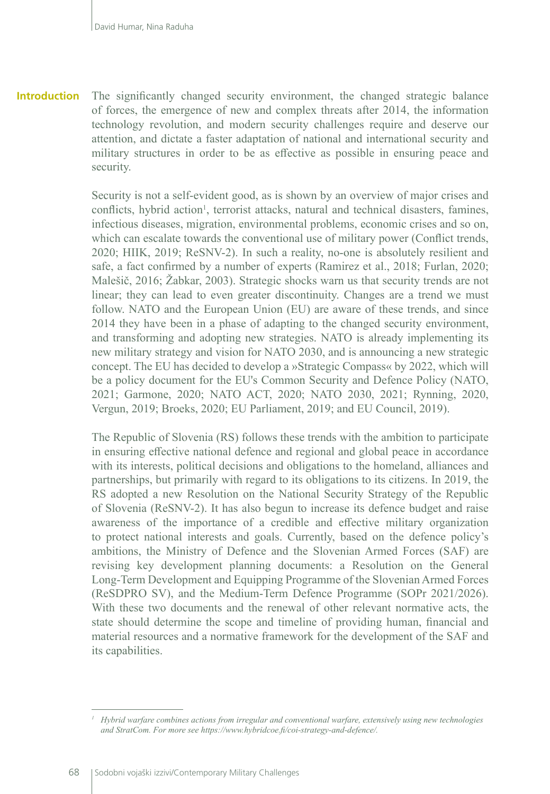The significantly changed security environment, the changed strategic balance of forces, the emergence of new and complex threats after 2014, the information technology revolution, and modern security challenges require and deserve our attention, and dictate a faster adaptation of national and international security and military structures in order to be as effective as possible in ensuring peace and security. **Introduction**

> Security is not a self-evident good, as is shown by an overview of major crises and conflicts, hybrid action<sup>1</sup>, terrorist attacks, natural and technical disasters, famines, infectious diseases, migration, environmental problems, economic crises and so on, which can escalate towards the conventional use of military power (Conflict trends, 2020; HIIK, 2019; ReSNV-2). In such a reality, no-one is absolutely resilient and safe, a fact confirmed by a number of experts (Ramirez et al., 2018; Furlan, 2020; Malešič, 2016; Žabkar, 2003). Strategic shocks warn us that security trends are not linear; they can lead to even greater discontinuity. Changes are a trend we must follow. NATO and the European Union (EU) are aware of these trends, and since 2014 they have been in a phase of adapting to the changed security environment, and transforming and adopting new strategies. NATO is already implementing its new military strategy and vision for NATO 2030, and is announcing a new strategic concept. The EU has decided to develop a »Strategic Compass« by 2022, which will be a policy document for the EU's Common Security and Defence Policy (NATO, 2021; Garmone, 2020; NATO ACT, 2020; NATO 2030, 2021; Rynning, 2020, Vergun, 2019; Broeks, 2020; EU Parliament, 2019; and EU Council, 2019).

> The Republic of Slovenia (RS) follows these trends with the ambition to participate in ensuring effective national defence and regional and global peace in accordance with its interests, political decisions and obligations to the homeland, alliances and partnerships, but primarily with regard to its obligations to its citizens. In 2019, the RS adopted a new Resolution on the National Security Strategy of the Republic of Slovenia (ReSNV-2). It has also begun to increase its defence budget and raise awareness of the importance of a credible and effective military organization to protect national interests and goals. Currently, based on the defence policy's ambitions, the Ministry of Defence and the Slovenian Armed Forces (SAF) are revising key development planning documents: a Resolution on the General Long-Term Development and Equipping Programme of the Slovenian Armed Forces (ReSDPRO SV), and the Medium-Term Defence Programme (SOPr 2021/2026). With these two documents and the renewal of other relevant normative acts, the state should determine the scope and timeline of providing human, financial and material resources and a normative framework for the development of the SAF and its capabilities.

*<sup>1</sup> Hybrid warfare combines actions from irregular and conventional warfare, extensively using new technologies and StratCom. For more see https://www.hybridcoe.fi/coi-strategy-and-defence/.*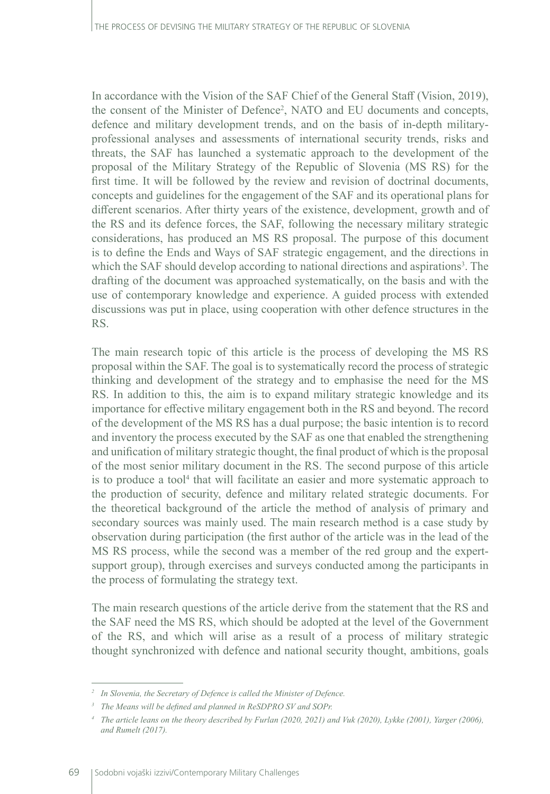In accordance with the Vision of the SAF Chief of the General Staff (Vision, 2019), the consent of the Minister of Defence2 , NATO and EU documents and concepts, defence and military development trends, and on the basis of in-depth militaryprofessional analyses and assessments of international security trends, risks and threats, the SAF has launched a systematic approach to the development of the proposal of the Military Strategy of the Republic of Slovenia (MS RS) for the first time. It will be followed by the review and revision of doctrinal documents, concepts and guidelines for the engagement of the SAF and its operational plans for different scenarios. After thirty years of the existence, development, growth and of the RS and its defence forces, the SAF, following the necessary military strategic considerations, has produced an MS RS proposal. The purpose of this document is to define the Ends and Ways of SAF strategic engagement, and the directions in which the SAF should develop according to national directions and aspirations<sup>3</sup>. The drafting of the document was approached systematically, on the basis and with the use of contemporary knowledge and experience. A guided process with extended discussions was put in place, using cooperation with other defence structures in the RS.

The main research topic of this article is the process of developing the MS RS proposal within the SAF. The goal is to systematically record the process of strategic thinking and development of the strategy and to emphasise the need for the MS RS. In addition to this, the aim is to expand military strategic knowledge and its importance for effective military engagement both in the RS and beyond. The record of the development of the MS RS has a dual purpose; the basic intention is to record and inventory the process executed by the SAF as one that enabled the strengthening and unification of military strategic thought, the final product of which is the proposal of the most senior military document in the RS. The second purpose of this article is to produce a tool<sup>4</sup> that will facilitate an easier and more systematic approach to the production of security, defence and military related strategic documents. For the theoretical background of the article the method of analysis of primary and secondary sources was mainly used. The main research method is a case study by observation during participation (the first author of the article was in the lead of the MS RS process, while the second was a member of the red group and the expertsupport group), through exercises and surveys conducted among the participants in the process of formulating the strategy text.

The main research questions of the article derive from the statement that the RS and the SAF need the MS RS, which should be adopted at the level of the Government of the RS, and which will arise as a result of a process of military strategic thought synchronized with defence and national security thought, ambitions, goals

*<sup>2</sup> In Slovenia, the Secretary of Defence is called the Minister of Defence.*

*<sup>3</sup> The Means will be defined and planned in ReSDPRO SV and SOPr.*

*<sup>4</sup> The article leans on the theory described by Furlan (2020, 2021) and Vuk (2020), Lykke (2001), Yarger (2006), and Rumelt (2017).*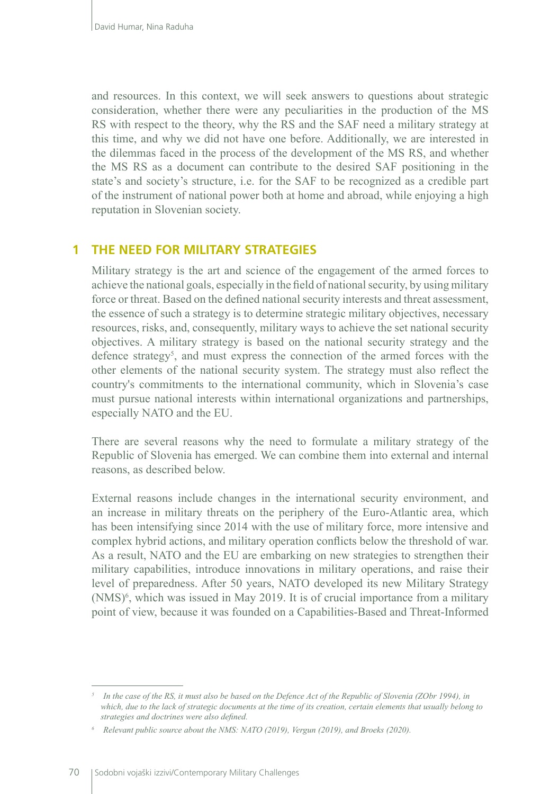and resources. In this context, we will seek answers to questions about strategic consideration, whether there were any peculiarities in the production of the MS RS with respect to the theory, why the RS and the SAF need a military strategy at this time, and why we did not have one before. Additionally, we are interested in the dilemmas faced in the process of the development of the MS RS, and whether the MS RS as a document can contribute to the desired SAF positioning in the state's and society's structure, i.e. for the SAF to be recognized as a credible part of the instrument of national power both at home and abroad, while enjoying a high reputation in Slovenian society.

#### **1 THE NEED FOR MILITARY STRATEGIES**

Military strategy is the art and science of the engagement of the armed forces to achieve the national goals, especially in the field of national security, by using military force or threat. Based on the defined national security interests and threat assessment, the essence of such a strategy is to determine strategic military objectives, necessary resources, risks, and, consequently, military ways to achieve the set national security objectives. A military strategy is based on the national security strategy and the defence strategy<sup>5</sup>, and must express the connection of the armed forces with the other elements of the national security system. The strategy must also reflect the country's commitments to the international community, which in Slovenia's case must pursue national interests within international organizations and partnerships, especially NATO and the EU.

There are several reasons why the need to formulate a military strategy of the Republic of Slovenia has emerged. We can combine them into external and internal reasons, as described below.

External reasons include changes in the international security environment, and an increase in military threats on the periphery of the Euro-Atlantic area, which has been intensifying since 2014 with the use of military force, more intensive and complex hybrid actions, and military operation conflicts below the threshold of war. As a result, NATO and the EU are embarking on new strategies to strengthen their military capabilities, introduce innovations in military operations, and raise their level of preparedness. After 50 years, NATO developed its new Military Strategy (NMS)<sup>6</sup>, which was issued in May 2019. It is of crucial importance from a military point of view, because it was founded on a Capabilities-Based and Threat-Informed

In the case of the RS, it must also be based on the Defence Act of the Republic of Slovenia (ZObr 1994), in *which, due to the lack of strategic documents at the time of its creation, certain elements that usually belong to strategies and doctrines were also defined.*

*<sup>6</sup>Relevant public source about the NMS: NATO (2019), Vergun (2019), and Broeks (2020).*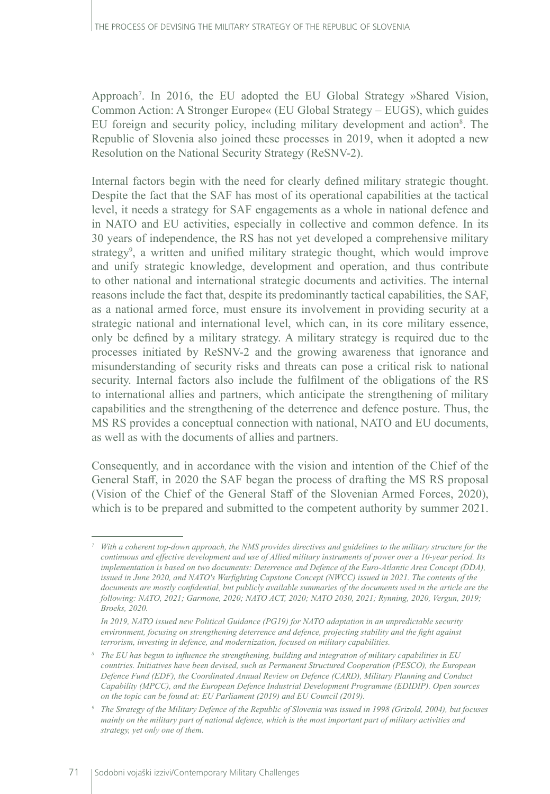Approach7 . In 2016, the EU adopted the EU Global Strategy »Shared Vision, Common Action: A Stronger Europe« (EU Global Strategy – EUGS), which guides EU foreign and security policy, including military development and action<sup>8</sup>. The Republic of Slovenia also joined these processes in 2019, when it adopted a new Resolution on the National Security Strategy (ReSNV-2).

Internal factors begin with the need for clearly defined military strategic thought. Despite the fact that the SAF has most of its operational capabilities at the tactical level, it needs a strategy for SAF engagements as a whole in national defence and in NATO and EU activities, especially in collective and common defence. In its 30 years of independence, the RS has not yet developed a comprehensive military strategy<sup>9</sup>, a written and unified military strategic thought, which would improve and unify strategic knowledge, development and operation, and thus contribute to other national and international strategic documents and activities. The internal reasons include the fact that, despite its predominantly tactical capabilities, the SAF, as a national armed force, must ensure its involvement in providing security at a strategic national and international level, which can, in its core military essence, only be defined by a military strategy. A military strategy is required due to the processes initiated by ReSNV-2 and the growing awareness that ignorance and misunderstanding of security risks and threats can pose a critical risk to national security. Internal factors also include the fulfilment of the obligations of the RS to international allies and partners, which anticipate the strengthening of military capabilities and the strengthening of the deterrence and defence posture. Thus, the MS RS provides a conceptual connection with national, NATO and EU documents, as well as with the documents of allies and partners.

Consequently, and in accordance with the vision and intention of the Chief of the General Staff, in 2020 the SAF began the process of drafting the MS RS proposal (Vision of the Chief of the General Staff of the Slovenian Armed Forces, 2020), which is to be prepared and submitted to the competent authority by summer 2021.

*<sup>7</sup> With a coherent top-down approach, the NMS provides directives and guidelines to the military structure for the continuous and effective development and use of Allied military instruments of power over a 10-year period. Its implementation is based on two documents: Deterrence and Defence of the Euro-Atlantic Area Concept (DDA), issued in June 2020, and NATO's Warfighting Capstone Concept (NWCC) issued in 2021. The contents of the documents are mostly confidential, but publicly available summaries of the documents used in the article are the following: NATO, 2021; Garmone, 2020; NATO ACT, 2020; NATO 2030, 2021; Rynning, 2020, Vergun, 2019; Broeks, 2020.*

*In 2019, NATO issued new Political Guidance (PG19) for NATO adaptation in an unpredictable security environment, focusing on strengthening deterrence and defence, projecting stability and the fight against terrorism, investing in defence, and modernization, focused on military capabilities.*

*<sup>8</sup> The EU has begun to influence the strengthening, building and integration of military capabilities in EU countries. Initiatives have been devised, such as Permanent Structured Cooperation (PESCO), the European Defence Fund (EDF), the Coordinated Annual Review on Defence (CARD), Military Planning and Conduct Capability (MPCC), and the European Defence Industrial Development Programme (EDIDIP). Open sources on the topic can be found at: EU Parliament (2019) and EU Council (2019).*

*<sup>9</sup> The Strategy of the Military Defence of the Republic of Slovenia was issued in 1998 (Grizold, 2004), but focuses mainly on the military part of national defence, which is the most important part of military activities and strategy, yet only one of them.*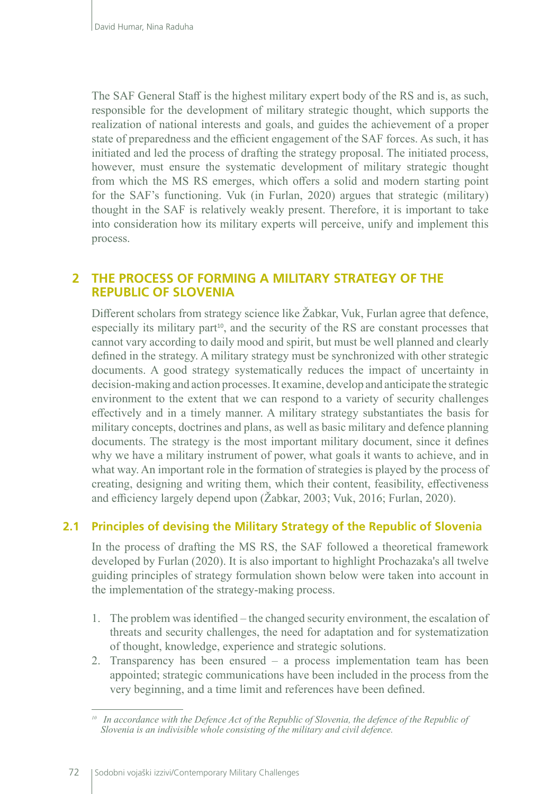The SAF General Staff is the highest military expert body of the RS and is, as such, responsible for the development of military strategic thought, which supports the realization of national interests and goals, and guides the achievement of a proper state of preparedness and the efficient engagement of the SAF forces. As such, it has initiated and led the process of drafting the strategy proposal. The initiated process, however, must ensure the systematic development of military strategic thought from which the MS RS emerges, which offers a solid and modern starting point for the SAF's functioning. Vuk (in Furlan, 2020) argues that strategic (military) thought in the SAF is relatively weakly present. Therefore, it is important to take into consideration how its military experts will perceive, unify and implement this process.

### **2 THE PROCESS OF FORMING A MILITARY STRATEGY OF THE REPUBLIC OF SLOVENIA**

Different scholars from strategy science like Žabkar, Vuk, Furlan agree that defence, especially its military part<sup>10</sup>, and the security of the RS are constant processes that cannot vary according to daily mood and spirit, but must be well planned and clearly defined in the strategy. A military strategy must be synchronized with other strategic documents. A good strategy systematically reduces the impact of uncertainty in decision-making and action processes. It examine, develop and anticipate the strategic environment to the extent that we can respond to a variety of security challenges effectively and in a timely manner. A military strategy substantiates the basis for military concepts, doctrines and plans, as well as basic military and defence planning documents. The strategy is the most important military document, since it defines why we have a military instrument of power, what goals it wants to achieve, and in what way. An important role in the formation of strategies is played by the process of creating, designing and writing them, which their content, feasibility, effectiveness and efficiency largely depend upon (Žabkar, 2003; Vuk, 2016; Furlan, 2020).

#### **2.1 Principles of devising the Military Strategy of the Republic of Slovenia**

In the process of drafting the MS RS, the SAF followed a theoretical framework developed by Furlan (2020). It is also important to highlight Prochazaka's all twelve guiding principles of strategy formulation shown below were taken into account in the implementation of the strategy-making process.

- 1. The problem was identified the changed security environment, the escalation of threats and security challenges, the need for adaptation and for systematization of thought, knowledge, experience and strategic solutions.
- 2. Transparency has been ensured a process implementation team has been appointed; strategic communications have been included in the process from the very beginning, and a time limit and references have been defined.

<sup>&</sup>lt;sup>10</sup> In accordance with the Defence Act of the Republic of Slovenia, the defence of the Republic of *Slovenia is an indivisible whole consisting of the military and civil defence.*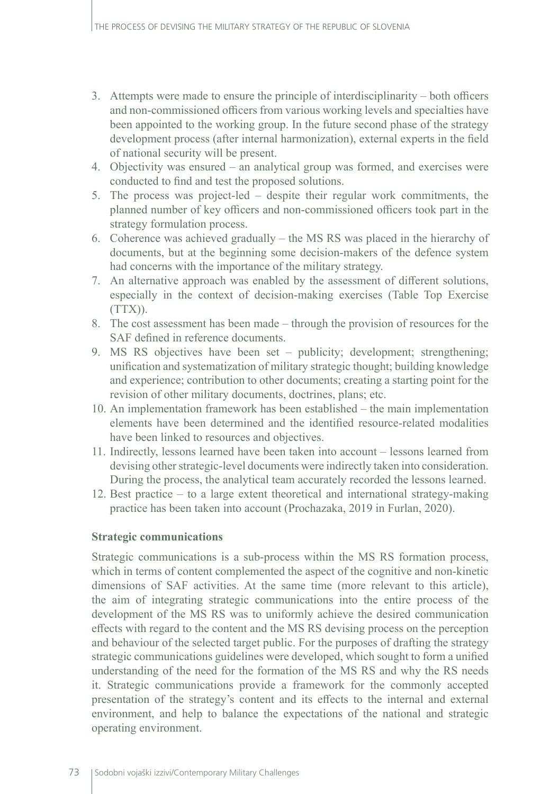- 3. Attempts were made to ensure the principle of interdisciplinarity both officers and non-commissioned officers from various working levels and specialties have been appointed to the working group. In the future second phase of the strategy development process (after internal harmonization), external experts in the field of national security will be present.
- 4. Objectivity was ensured an analytical group was formed, and exercises were conducted to find and test the proposed solutions.
- 5. The process was project-led despite their regular work commitments, the planned number of key officers and non-commissioned officers took part in the strategy formulation process.
- 6. Coherence was achieved gradually the MS RS was placed in the hierarchy of documents, but at the beginning some decision-makers of the defence system had concerns with the importance of the military strategy.
- 7. An alternative approach was enabled by the assessment of different solutions, especially in the context of decision-making exercises (Table Top Exercise  $(TTX)$ ).
- 8. The cost assessment has been made through the provision of resources for the SAF defined in reference documents.
- 9. MS RS objectives have been set publicity; development; strengthening; unification and systematization of military strategic thought; building knowledge and experience; contribution to other documents; creating a starting point for the revision of other military documents, doctrines, plans; etc.
- 10. An implementation framework has been established the main implementation elements have been determined and the identified resource-related modalities have been linked to resources and objectives.
- 11. Indirectly, lessons learned have been taken into account lessons learned from devising other strategic-level documents were indirectly taken into consideration. During the process, the analytical team accurately recorded the lessons learned.
- 12. Best practice to a large extent theoretical and international strategy-making practice has been taken into account (Prochazaka, 2019 in Furlan, 2020).

#### **Strategic communications**

Strategic communications is a sub-process within the MS RS formation process, which in terms of content complemented the aspect of the cognitive and non-kinetic dimensions of SAF activities. At the same time (more relevant to this article), the aim of integrating strategic communications into the entire process of the development of the MS RS was to uniformly achieve the desired communication effects with regard to the content and the MS RS devising process on the perception and behaviour of the selected target public. For the purposes of drafting the strategy strategic communications guidelines were developed, which sought to form a unified understanding of the need for the formation of the MS RS and why the RS needs it. Strategic communications provide a framework for the commonly accepted presentation of the strategy's content and its effects to the internal and external environment, and help to balance the expectations of the national and strategic operating environment.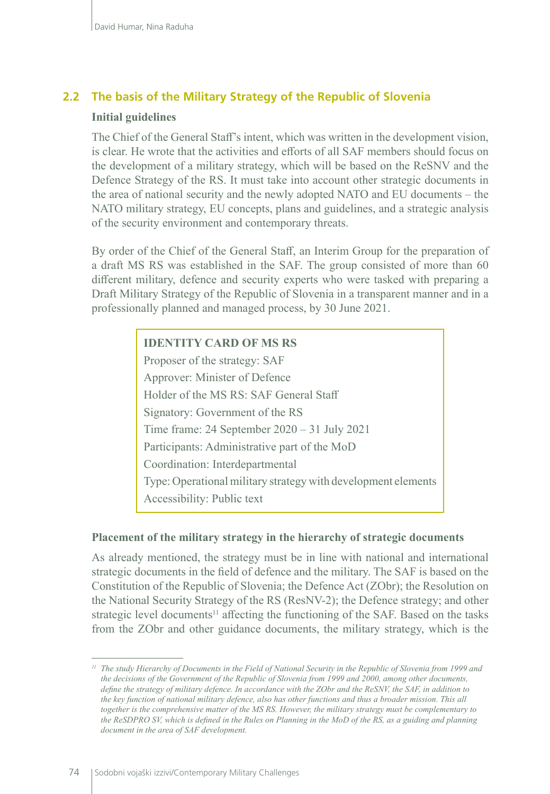#### **2.2 The basis of the Military Strategy of the Republic of Slovenia**

#### **Initial guidelines**

The Chief of the General Staff's intent, which was written in the development vision, is clear. He wrote that the activities and efforts of all SAF members should focus on the development of a military strategy, which will be based on the ReSNV and the Defence Strategy of the RS. It must take into account other strategic documents in the area of national security and the newly adopted NATO and EU documents – the NATO military strategy, EU concepts, plans and guidelines, and a strategic analysis of the security environment and contemporary threats.

By order of the Chief of the General Staff, an Interim Group for the preparation of a draft MS RS was established in the SAF. The group consisted of more than 60 different military, defence and security experts who were tasked with preparing a Draft Military Strategy of the Republic of Slovenia in a transparent manner and in a professionally planned and managed process, by 30 June 2021.

#### **IDENTITY CARD OF MS RS**

Proposer of the strategy: SAF Approver: Minister of Defence Holder of the MS RS: SAF General Staff Signatory: Government of the RS Time frame: 24 September 2020 – 31 July 2021 Participants: Administrative part of the MoD Coordination: Interdepartmental Type: Operational military strategy with development elements Accessibility: Public text

#### **Placement of the military strategy in the hierarchy of strategic documents**

As already mentioned, the strategy must be in line with national and international strategic documents in the field of defence and the military. The SAF is based on the Constitution of the Republic of Slovenia; the Defence Act (ZObr); the Resolution on the National Security Strategy of the RS (ResNV-2); the Defence strategy; and other strategic level documents<sup>11</sup> affecting the functioning of the SAF. Based on the tasks from the ZObr and other guidance documents, the military strategy, which is the

*<sup>11</sup> The study Hierarchy of Documents in the Field of National Security in the Republic of Slovenia from 1999 and the decisions of the Government of the Republic of Slovenia from 1999 and 2000, among other documents, define the strategy of military defence. In accordance with the ZObr and the ReSNV, the SAF, in addition to the key function of national military defence, also has other functions and thus a broader mission. This all together is the comprehensive matter of the MS RS. However, the military strategy must be complementary to the ReSDPRO SV, which is defined in the Rules on Planning in the MoD of the RS, as a guiding and planning document in the area of SAF development.*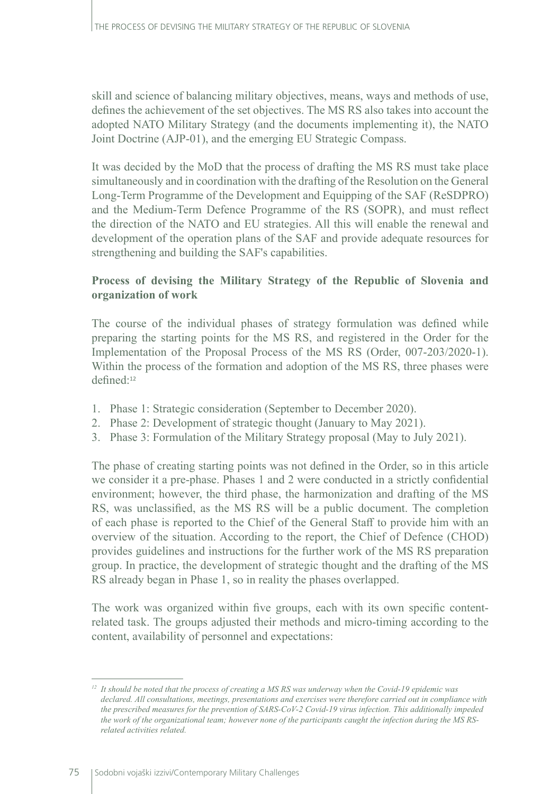skill and science of balancing military objectives, means, ways and methods of use, defines the achievement of the set objectives. The MS RS also takes into account the adopted NATO Military Strategy (and the documents implementing it), the NATO Joint Doctrine (AJP-01), and the emerging EU Strategic Compass.

It was decided by the MoD that the process of drafting the MS RS must take place simultaneously and in coordination with the drafting of the Resolution on the General Long-Term Programme of the Development and Equipping of the SAF (ReSDPRO) and the Medium-Term Defence Programme of the RS (SOPR), and must reflect the direction of the NATO and EU strategies. All this will enable the renewal and development of the operation plans of the SAF and provide adequate resources for strengthening and building the SAF's capabilities.

#### **Process of devising the Military Strategy of the Republic of Slovenia and organization of work**

The course of the individual phases of strategy formulation was defined while preparing the starting points for the MS RS, and registered in the Order for the Implementation of the Proposal Process of the MS RS (Order, 007-203/2020-1). Within the process of the formation and adoption of the MS RS, three phases were defined:<sup>12</sup>

- 1. Phase 1: Strategic consideration (September to December 2020).
- 2. Phase 2: Development of strategic thought (January to May 2021).
- 3. Phase 3: Formulation of the Military Strategy proposal (May to July 2021).

The phase of creating starting points was not defined in the Order, so in this article we consider it a pre-phase. Phases 1 and 2 were conducted in a strictly confidential environment; however, the third phase, the harmonization and drafting of the MS RS, was unclassified, as the MS RS will be a public document. The completion of each phase is reported to the Chief of the General Staff to provide him with an overview of the situation. According to the report, the Chief of Defence (CHOD) provides guidelines and instructions for the further work of the MS RS preparation group. In practice, the development of strategic thought and the drafting of the MS RS already began in Phase 1, so in reality the phases overlapped.

The work was organized within five groups, each with its own specific contentrelated task. The groups adjusted their methods and micro-timing according to the content, availability of personnel and expectations:

*<sup>12</sup> It should be noted that the process of creating a MS RS was underway when the Covid-19 epidemic was declared. All consultations, meetings, presentations and exercises were therefore carried out in compliance with the prescribed measures for the prevention of SARS-CoV-2 Covid-19 virus infection. This additionally impeded the work of the organizational team; however none of the participants caught the infection during the MS RSrelated activities related.*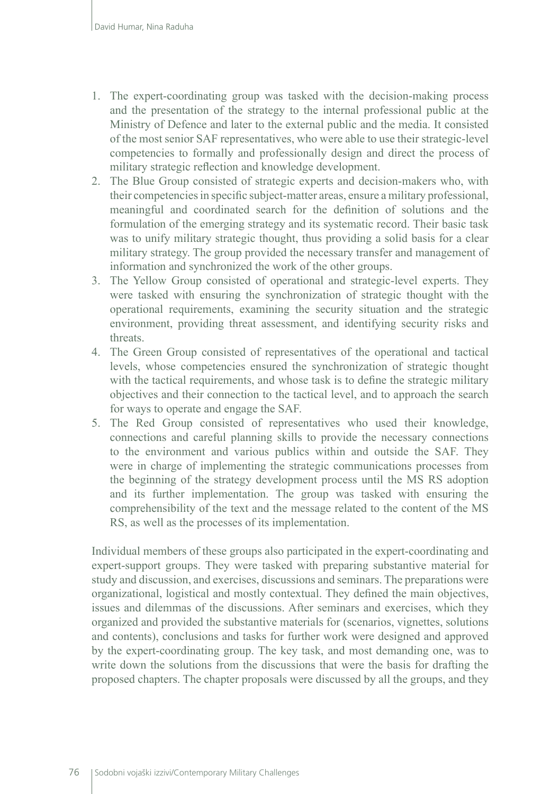- 1. The expert-coordinating group was tasked with the decision-making process and the presentation of the strategy to the internal professional public at the Ministry of Defence and later to the external public and the media. It consisted of the most senior SAF representatives, who were able to use their strategic-level competencies to formally and professionally design and direct the process of military strategic reflection and knowledge development.
- 2. The Blue Group consisted of strategic experts and decision-makers who, with their competencies in specific subject-matter areas, ensure a military professional, meaningful and coordinated search for the definition of solutions and the formulation of the emerging strategy and its systematic record. Their basic task was to unify military strategic thought, thus providing a solid basis for a clear military strategy. The group provided the necessary transfer and management of information and synchronized the work of the other groups.
- 3. The Yellow Group consisted of operational and strategic-level experts. They were tasked with ensuring the synchronization of strategic thought with the operational requirements, examining the security situation and the strategic environment, providing threat assessment, and identifying security risks and threats.
- 4. The Green Group consisted of representatives of the operational and tactical levels, whose competencies ensured the synchronization of strategic thought with the tactical requirements, and whose task is to define the strategic military objectives and their connection to the tactical level, and to approach the search for ways to operate and engage the SAF.
- 5. The Red Group consisted of representatives who used their knowledge, connections and careful planning skills to provide the necessary connections to the environment and various publics within and outside the SAF. They were in charge of implementing the strategic communications processes from the beginning of the strategy development process until the MS RS adoption and its further implementation. The group was tasked with ensuring the comprehensibility of the text and the message related to the content of the MS RS, as well as the processes of its implementation.

Individual members of these groups also participated in the expert-coordinating and expert-support groups. They were tasked with preparing substantive material for study and discussion, and exercises, discussions and seminars. The preparations were organizational, logistical and mostly contextual. They defined the main objectives, issues and dilemmas of the discussions. After seminars and exercises, which they organized and provided the substantive materials for (scenarios, vignettes, solutions and contents), conclusions and tasks for further work were designed and approved by the expert-coordinating group. The key task, and most demanding one, was to write down the solutions from the discussions that were the basis for drafting the proposed chapters. The chapter proposals were discussed by all the groups, and they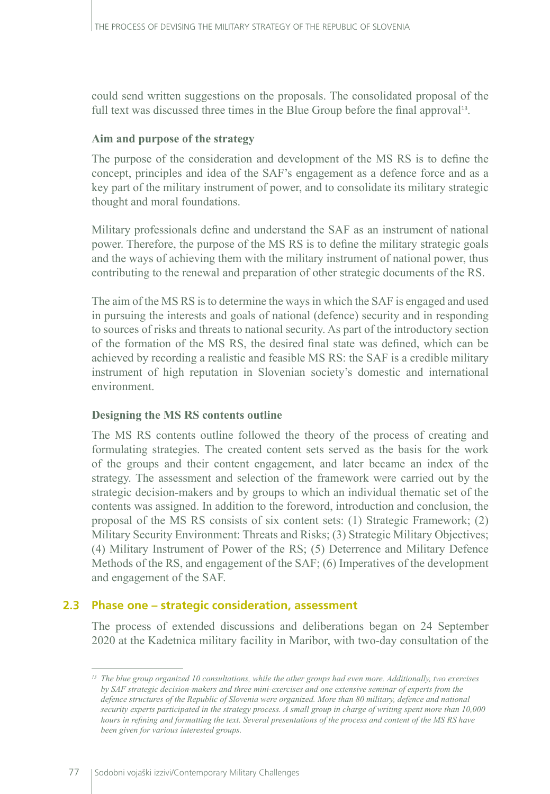could send written suggestions on the proposals. The consolidated proposal of the full text was discussed three times in the Blue Group before the final approval13.

#### **Aim and purpose of the strategy**

The purpose of the consideration and development of the MS RS is to define the concept, principles and idea of the SAF's engagement as a defence force and as a key part of the military instrument of power, and to consolidate its military strategic thought and moral foundations.

Military professionals define and understand the SAF as an instrument of national power. Therefore, the purpose of the MS RS is to define the military strategic goals and the ways of achieving them with the military instrument of national power, thus contributing to the renewal and preparation of other strategic documents of the RS.

The aim of the MS RS is to determine the ways in which the SAF is engaged and used in pursuing the interests and goals of national (defence) security and in responding to sources of risks and threats to national security. As part of the introductory section of the formation of the MS RS, the desired final state was defined, which can be achieved by recording a realistic and feasible MS RS: the SAF is a credible military instrument of high reputation in Slovenian society's domestic and international environment.

#### **Designing the MS RS contents outline**

The MS RS contents outline followed the theory of the process of creating and formulating strategies. The created content sets served as the basis for the work of the groups and their content engagement, and later became an index of the strategy. The assessment and selection of the framework were carried out by the strategic decision-makers and by groups to which an individual thematic set of the contents was assigned. In addition to the foreword, introduction and conclusion, the proposal of the MS RS consists of six content sets: (1) Strategic Framework; (2) Military Security Environment: Threats and Risks; (3) Strategic Military Objectives; (4) Military Instrument of Power of the RS; (5) Deterrence and Military Defence Methods of the RS, and engagement of the SAF; (6) Imperatives of the development and engagement of the SAF.

#### **2.3 Phase one – strategic consideration, assessment**

The process of extended discussions and deliberations began on 24 September 2020 at the Kadetnica military facility in Maribor, with two-day consultation of the

*<sup>13</sup> The blue group organized 10 consultations, while the other groups had even more. Additionally, two exercises by SAF strategic decision-makers and three mini-exercises and one extensive seminar of experts from the defence structures of the Republic of Slovenia were organized. More than 80 military, defence and national security experts participated in the strategy process. A small group in charge of writing spent more than 10,000 hours in refining and formatting the text. Several presentations of the process and content of the MS RS have been given for various interested groups.*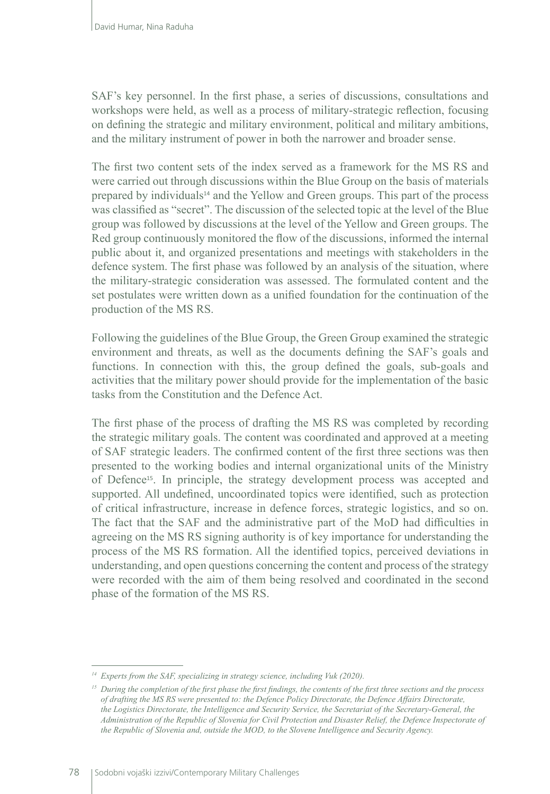SAF's key personnel. In the first phase, a series of discussions, consultations and workshops were held, as well as a process of military-strategic reflection, focusing on defining the strategic and military environment, political and military ambitions, and the military instrument of power in both the narrower and broader sense.

The first two content sets of the index served as a framework for the MS RS and were carried out through discussions within the Blue Group on the basis of materials prepared by individuals<sup>14</sup> and the Yellow and Green groups. This part of the process was classified as "secret". The discussion of the selected topic at the level of the Blue group was followed by discussions at the level of the Yellow and Green groups. The Red group continuously monitored the flow of the discussions, informed the internal public about it, and organized presentations and meetings with stakeholders in the defence system. The first phase was followed by an analysis of the situation, where the military-strategic consideration was assessed. The formulated content and the set postulates were written down as a unified foundation for the continuation of the production of the MS RS.

Following the guidelines of the Blue Group, the Green Group examined the strategic environment and threats, as well as the documents defining the SAF's goals and functions. In connection with this, the group defined the goals, sub-goals and activities that the military power should provide for the implementation of the basic tasks from the Constitution and the Defence Act.

The first phase of the process of drafting the MS RS was completed by recording the strategic military goals. The content was coordinated and approved at a meeting of SAF strategic leaders. The confirmed content of the first three sections was then presented to the working bodies and internal organizational units of the Ministry of Defence<sup>15</sup>. In principle, the strategy development process was accepted and supported. All undefined, uncoordinated topics were identified, such as protection of critical infrastructure, increase in defence forces, strategic logistics, and so on. The fact that the SAF and the administrative part of the MoD had difficulties in agreeing on the MS RS signing authority is of key importance for understanding the process of the MS RS formation. All the identified topics, perceived deviations in understanding, and open questions concerning the content and process of the strategy were recorded with the aim of them being resolved and coordinated in the second phase of the formation of the MS RS.

*<sup>14</sup> Experts from the SAF, specializing in strategy science, including Vuk (2020).*

*<sup>15</sup> During the completion of the first phase the first findings, the contents of the first three sections and the process of drafting the MS RS were presented to: the Defence Policy Directorate, the Defence Affairs Directorate, the Logistics Directorate, the Intelligence and Security Service, the Secretariat of the Secretary-General, the Administration of the Republic of Slovenia for Civil Protection and Disaster Relief, the Defence Inspectorate of the Republic of Slovenia and, outside the MOD, to the Slovene Intelligence and Security Agency.*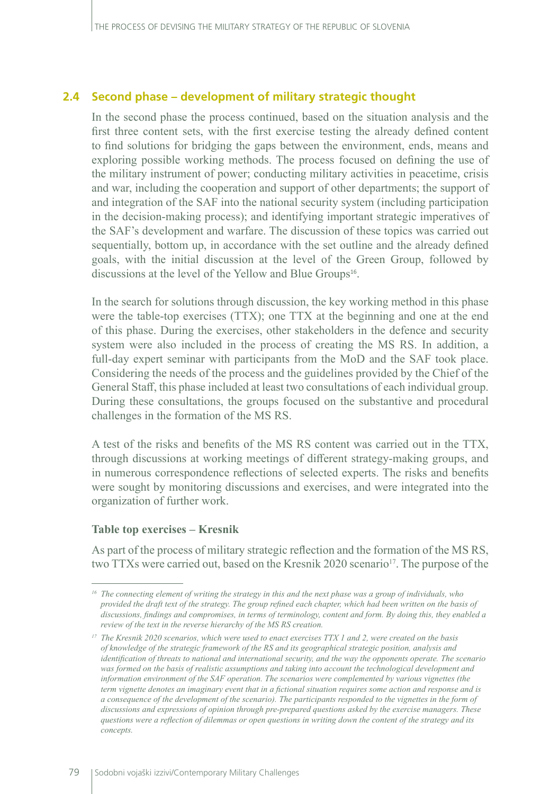#### **2.4 Second phase – development of military strategic thought**

In the second phase the process continued, based on the situation analysis and the first three content sets, with the first exercise testing the already defined content to find solutions for bridging the gaps between the environment, ends, means and exploring possible working methods. The process focused on defining the use of the military instrument of power; conducting military activities in peacetime, crisis and war, including the cooperation and support of other departments; the support of and integration of the SAF into the national security system (including participation in the decision-making process); and identifying important strategic imperatives of the SAF's development and warfare. The discussion of these topics was carried out sequentially, bottom up, in accordance with the set outline and the already defined goals, with the initial discussion at the level of the Green Group, followed by discussions at the level of the Yellow and Blue Groups<sup>16</sup>.

In the search for solutions through discussion, the key working method in this phase were the table-top exercises (TTX); one TTX at the beginning and one at the end of this phase. During the exercises, other stakeholders in the defence and security system were also included in the process of creating the MS RS. In addition, a full-day expert seminar with participants from the MoD and the SAF took place. Considering the needs of the process and the guidelines provided by the Chief of the General Staff, this phase included at least two consultations of each individual group. During these consultations, the groups focused on the substantive and procedural challenges in the formation of the MS RS.

A test of the risks and benefits of the MS RS content was carried out in the TTX, through discussions at working meetings of different strategy-making groups, and in numerous correspondence reflections of selected experts. The risks and benefits were sought by monitoring discussions and exercises, and were integrated into the organization of further work.

#### **Table top exercises – Kresnik**

As part of the process of military strategic reflection and the formation of the MS RS, two TTXs were carried out, based on the Kresnik 2020 scenario<sup>17</sup>. The purpose of the

*<sup>16</sup> The connecting element of writing the strategy in this and the next phase was a group of individuals, who provided the draft text of the strategy. The group refined each chapter, which had been written on the basis of discussions, findings and compromises, in terms of terminology, content and form. By doing this, they enabled a review of the text in the reverse hierarchy of the MS RS creation.*

*<sup>17</sup> The Kresnik 2020 scenarios, which were used to enact exercises TTX 1 and 2, were created on the basis of knowledge of the strategic framework of the RS and its geographical strategic position, analysis and identification of threats to national and international security, and the way the opponents operate. The scenario was formed on the basis of realistic assumptions and taking into account the technological development and information environment of the SAF operation. The scenarios were complemented by various vignettes (the term vignette denotes an imaginary event that in a fictional situation requires some action and response and is a consequence of the development of the scenario). The participants responded to the vignettes in the form of discussions and expressions of opinion through pre-prepared questions asked by the exercise managers. These questions were a reflection of dilemmas or open questions in writing down the content of the strategy and its concepts.*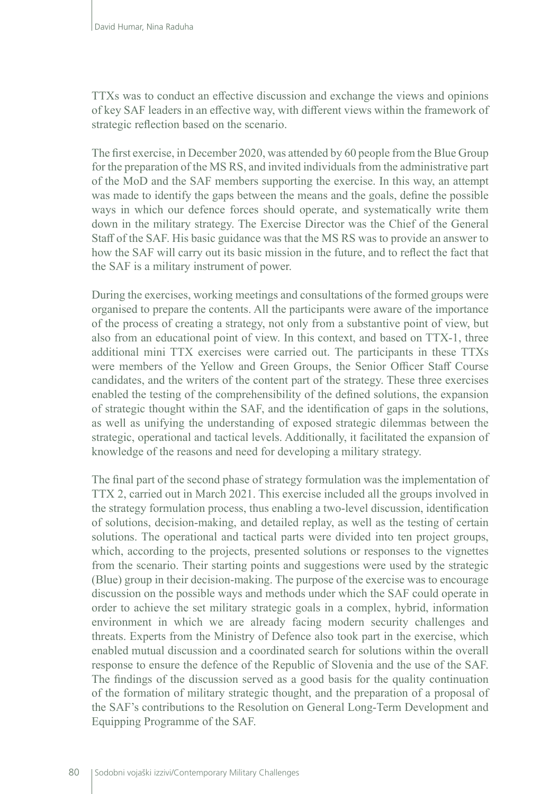TTXs was to conduct an effective discussion and exchange the views and opinions of key SAF leaders in an effective way, with different views within the framework of strategic reflection based on the scenario.

The first exercise, in December 2020, was attended by 60 people from the Blue Group for the preparation of the MS RS, and invited individuals from the administrative part of the MoD and the SAF members supporting the exercise. In this way, an attempt was made to identify the gaps between the means and the goals, define the possible ways in which our defence forces should operate, and systematically write them down in the military strategy. The Exercise Director was the Chief of the General Staff of the SAF. His basic guidance was that the MS RS was to provide an answer to how the SAF will carry out its basic mission in the future, and to reflect the fact that the SAF is a military instrument of power.

During the exercises, working meetings and consultations of the formed groups were organised to prepare the contents. All the participants were aware of the importance of the process of creating a strategy, not only from a substantive point of view, but also from an educational point of view. In this context, and based on TTX-1, three additional mini TTX exercises were carried out. The participants in these TTXs were members of the Yellow and Green Groups, the Senior Officer Staff Course candidates, and the writers of the content part of the strategy. These three exercises enabled the testing of the comprehensibility of the defined solutions, the expansion of strategic thought within the SAF, and the identification of gaps in the solutions, as well as unifying the understanding of exposed strategic dilemmas between the strategic, operational and tactical levels. Additionally, it facilitated the expansion of knowledge of the reasons and need for developing a military strategy.

The final part of the second phase of strategy formulation was the implementation of TTX 2, carried out in March 2021. This exercise included all the groups involved in the strategy formulation process, thus enabling a two-level discussion, identification of solutions, decision-making, and detailed replay, as well as the testing of certain solutions. The operational and tactical parts were divided into ten project groups, which, according to the projects, presented solutions or responses to the vignettes from the scenario. Their starting points and suggestions were used by the strategic (Blue) group in their decision-making. The purpose of the exercise was to encourage discussion on the possible ways and methods under which the SAF could operate in order to achieve the set military strategic goals in a complex, hybrid, information environment in which we are already facing modern security challenges and threats. Experts from the Ministry of Defence also took part in the exercise, which enabled mutual discussion and a coordinated search for solutions within the overall response to ensure the defence of the Republic of Slovenia and the use of the SAF. The findings of the discussion served as a good basis for the quality continuation of the formation of military strategic thought, and the preparation of a proposal of the SAF's contributions to the Resolution on General Long-Term Development and Equipping Programme of the SAF.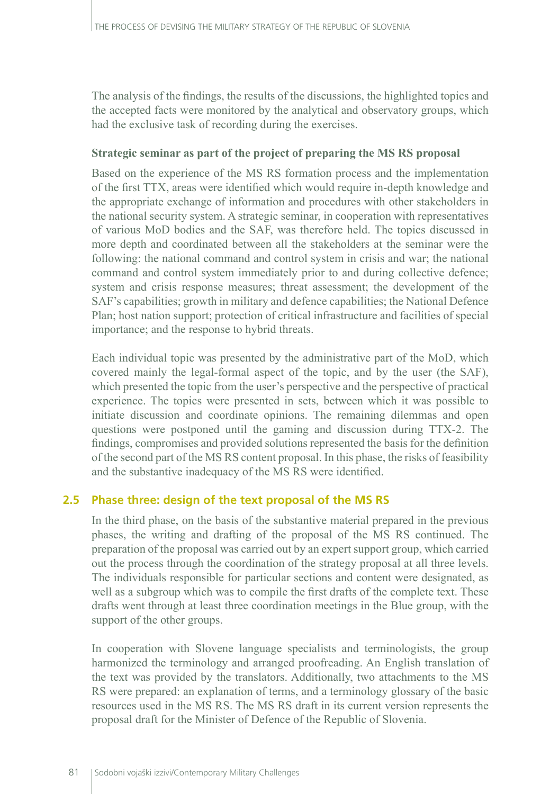The analysis of the findings, the results of the discussions, the highlighted topics and the accepted facts were monitored by the analytical and observatory groups, which had the exclusive task of recording during the exercises.

#### **Strategic seminar as part of the project of preparing the MS RS proposal**

Based on the experience of the MS RS formation process and the implementation of the first TTX, areas were identified which would require in-depth knowledge and the appropriate exchange of information and procedures with other stakeholders in the national security system. A strategic seminar, in cooperation with representatives of various MoD bodies and the SAF, was therefore held. The topics discussed in more depth and coordinated between all the stakeholders at the seminar were the following: the national command and control system in crisis and war; the national command and control system immediately prior to and during collective defence; system and crisis response measures; threat assessment; the development of the SAF's capabilities; growth in military and defence capabilities; the National Defence Plan; host nation support; protection of critical infrastructure and facilities of special importance; and the response to hybrid threats.

Each individual topic was presented by the administrative part of the MoD, which covered mainly the legal-formal aspect of the topic, and by the user (the SAF), which presented the topic from the user's perspective and the perspective of practical experience. The topics were presented in sets, between which it was possible to initiate discussion and coordinate opinions. The remaining dilemmas and open questions were postponed until the gaming and discussion during TTX-2. The findings, compromises and provided solutions represented the basis for the definition of the second part of the MS RS content proposal. In this phase, the risks of feasibility and the substantive inadequacy of the MS RS were identified.

# **2.5 Phase three: design of the text proposal of the MS RS**

In the third phase, on the basis of the substantive material prepared in the previous phases, the writing and drafting of the proposal of the MS RS continued. The preparation of the proposal was carried out by an expert support group, which carried out the process through the coordination of the strategy proposal at all three levels. The individuals responsible for particular sections and content were designated, as well as a subgroup which was to compile the first drafts of the complete text. These drafts went through at least three coordination meetings in the Blue group, with the support of the other groups.

In cooperation with Slovene language specialists and terminologists, the group harmonized the terminology and arranged proofreading. An English translation of the text was provided by the translators. Additionally, two attachments to the MS RS were prepared: an explanation of terms, and a terminology glossary of the basic resources used in the MS RS. The MS RS draft in its current version represents the proposal draft for the Minister of Defence of the Republic of Slovenia.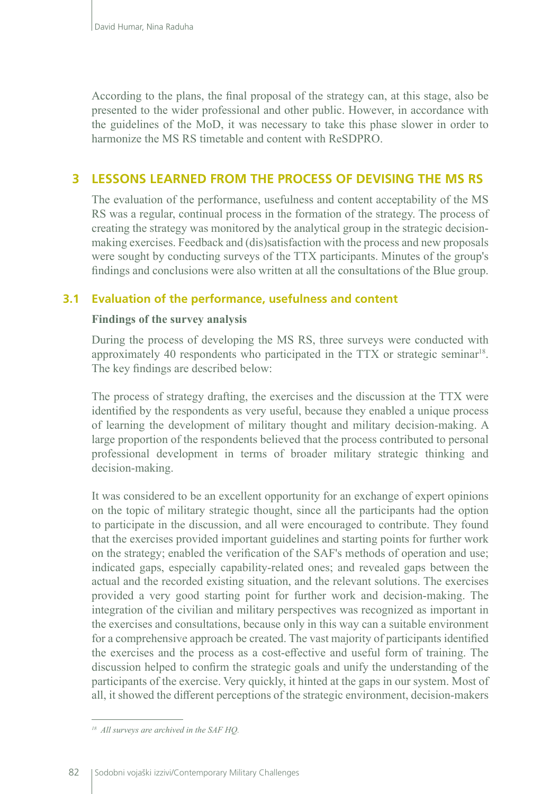According to the plans, the final proposal of the strategy can, at this stage, also be presented to the wider professional and other public. However, in accordance with the guidelines of the MoD, it was necessary to take this phase slower in order to harmonize the MS RS timetable and content with ReSDPRO.

# **3 LESSONS LEARNED FROM THE PROCESS OF DEVISING THE MS RS**

The evaluation of the performance, usefulness and content acceptability of the MS RS was a regular, continual process in the formation of the strategy. The process of creating the strategy was monitored by the analytical group in the strategic decisionmaking exercises. Feedback and (dis)satisfaction with the process and new proposals were sought by conducting surveys of the TTX participants. Minutes of the group's findings and conclusions were also written at all the consultations of the Blue group.

#### **3.1 Evaluation of the performance, usefulness and content**

#### **Findings of the survey analysis**

During the process of developing the MS RS, three surveys were conducted with approximately 40 respondents who participated in the TTX or strategic seminar18. The key findings are described below:

The process of strategy drafting, the exercises and the discussion at the TTX were identified by the respondents as very useful, because they enabled a unique process of learning the development of military thought and military decision-making. A large proportion of the respondents believed that the process contributed to personal professional development in terms of broader military strategic thinking and decision-making.

It was considered to be an excellent opportunity for an exchange of expert opinions on the topic of military strategic thought, since all the participants had the option to participate in the discussion, and all were encouraged to contribute. They found that the exercises provided important guidelines and starting points for further work on the strategy; enabled the verification of the SAF's methods of operation and use; indicated gaps, especially capability-related ones; and revealed gaps between the actual and the recorded existing situation, and the relevant solutions. The exercises provided a very good starting point for further work and decision-making. The integration of the civilian and military perspectives was recognized as important in the exercises and consultations, because only in this way can a suitable environment for a comprehensive approach be created. The vast majority of participants identified the exercises and the process as a cost-effective and useful form of training. The discussion helped to confirm the strategic goals and unify the understanding of the participants of the exercise. Very quickly, it hinted at the gaps in our system. Most of all, it showed the different perceptions of the strategic environment, decision-makers

*<sup>18</sup> All surveys are archived in the SAF HQ.*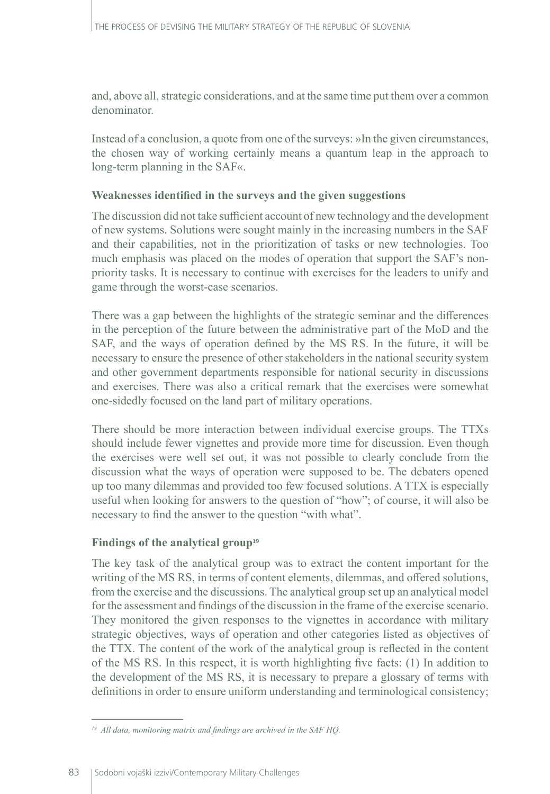and, above all, strategic considerations, and at the same time put them over a common denominator.

Instead of a conclusion, a quote from one of the surveys: »In the given circumstances, the chosen way of working certainly means a quantum leap in the approach to long-term planning in the SAF«.

#### **Weaknesses identified in the surveys and the given suggestions**

The discussion did not take sufficient account of new technology and the development of new systems. Solutions were sought mainly in the increasing numbers in the SAF and their capabilities, not in the prioritization of tasks or new technologies. Too much emphasis was placed on the modes of operation that support the SAF's nonpriority tasks. It is necessary to continue with exercises for the leaders to unify and game through the worst-case scenarios.

There was a gap between the highlights of the strategic seminar and the differences in the perception of the future between the administrative part of the MoD and the SAF, and the ways of operation defined by the MS RS. In the future, it will be necessary to ensure the presence of other stakeholders in the national security system and other government departments responsible for national security in discussions and exercises. There was also a critical remark that the exercises were somewhat one-sidedly focused on the land part of military operations.

There should be more interaction between individual exercise groups. The TTXs should include fewer vignettes and provide more time for discussion. Even though the exercises were well set out, it was not possible to clearly conclude from the discussion what the ways of operation were supposed to be. The debaters opened up too many dilemmas and provided too few focused solutions. A TTX is especially useful when looking for answers to the question of "how"; of course, it will also be necessary to find the answer to the question "with what".

#### **Findings of the analytical group<sup>19</sup>**

The key task of the analytical group was to extract the content important for the writing of the MS RS, in terms of content elements, dilemmas, and offered solutions, from the exercise and the discussions. The analytical group set up an analytical model for the assessment and findings of the discussion in the frame of the exercise scenario. They monitored the given responses to the vignettes in accordance with military strategic objectives, ways of operation and other categories listed as objectives of the TTX. The content of the work of the analytical group is reflected in the content of the MS RS. In this respect, it is worth highlighting five facts: (1) In addition to the development of the MS RS, it is necessary to prepare a glossary of terms with definitions in order to ensure uniform understanding and terminological consistency;

*<sup>19</sup> All data, monitoring matrix and findings are archived in the SAF HQ.*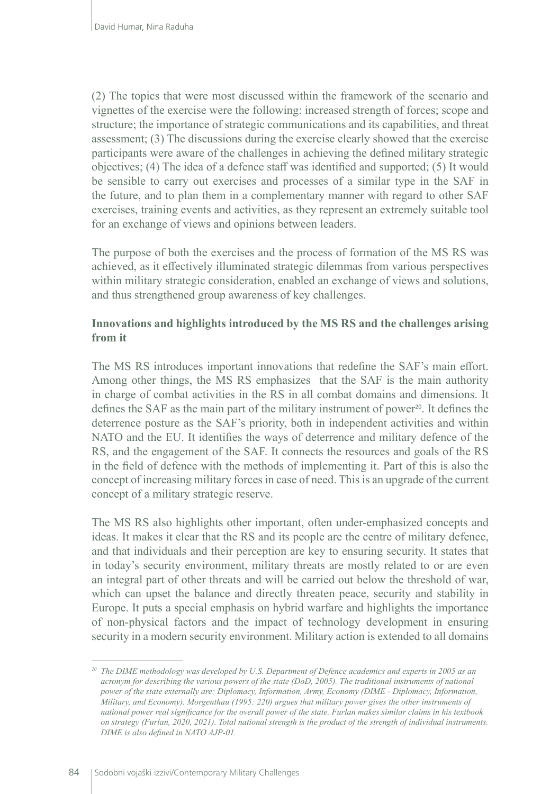(2) The topics that were most discussed within the framework of the scenario and vignettes of the exercise were the following: increased strength of forces; scope and structure; the importance of strategic communications and its capabilities, and threat assessment; (3) The discussions during the exercise clearly showed that the exercise participants were aware of the challenges in achieving the defined military strategic objectives; (4) The idea of a defence staff was identified and supported; (5) It would be sensible to carry out exercises and processes of a similar type in the SAF in the future, and to plan them in a complementary manner with regard to other SAF exercises, training events and activities, as they represent an extremely suitable tool for an exchange of views and opinions between leaders.

The purpose of both the exercises and the process of formation of the MS RS was achieved, as it effectively illuminated strategic dilemmas from various perspectives within military strategic consideration, enabled an exchange of views and solutions, and thus strengthened group awareness of key challenges.

#### **Innovations and highlights introduced by the MS RS and the challenges arising from it**

The MS RS introduces important innovations that redefine the SAF's main effort. Among other things, the MS RS emphasizes that the SAF is the main authority in charge of combat activities in the RS in all combat domains and dimensions. It defines the SAF as the main part of the military instrument of power<sup>20</sup>. It defines the deterrence posture as the SAF's priority, both in independent activities and within NATO and the EU. It identifies the ways of deterrence and military defence of the RS, and the engagement of the SAF. It connects the resources and goals of the RS in the field of defence with the methods of implementing it. Part of this is also the concept of increasing military forces in case of need. This is an upgrade of the current concept of a military strategic reserve.

The MS RS also highlights other important, often under-emphasized concepts and ideas. It makes it clear that the RS and its people are the centre of military defence, and that individuals and their perception are key to ensuring security. It states that in today's security environment, military threats are mostly related to or are even an integral part of other threats and will be carried out below the threshold of war, which can upset the balance and directly threaten peace, security and stability in Europe. It puts a special emphasis on hybrid warfare and highlights the importance of non-physical factors and the impact of technology development in ensuring security in a modern security environment. Military action is extended to all domains

*<sup>20</sup> The DIME methodology was developed by U.S. Department of Defence academics and experts in 2005 as an acronym for describing the various powers of the state (DoD, 2005). The traditional instruments of national power of the state externally are: Diplomacy, Information, Army, Economy (DIME - Diplomacy, Information, Military, and Economy). Morgenthau (1995: 220) argues that military power gives the other instruments of national power real significance for the overall power of the state. Furlan makes similar claims in his textbook on strategy (Furlan, 2020, 2021). Total national strength is the product of the strength of individual instruments. DIME is also defined in NATO AJP-01.*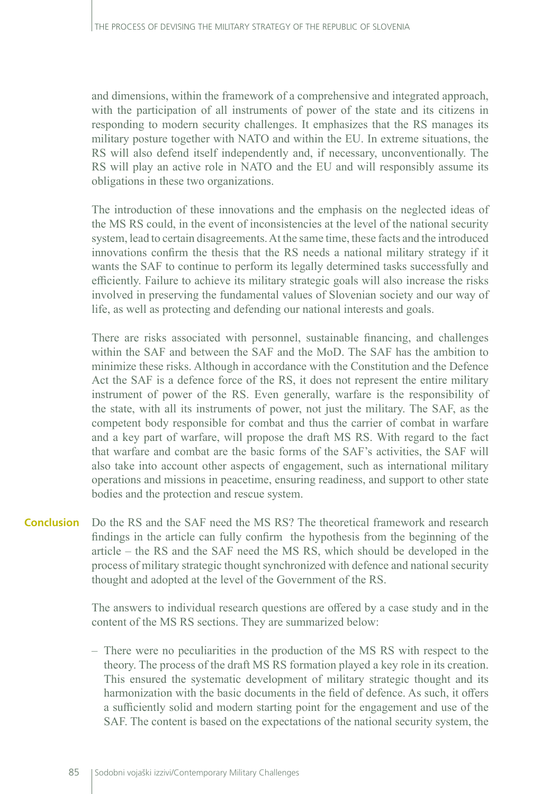and dimensions, within the framework of a comprehensive and integrated approach, with the participation of all instruments of power of the state and its citizens in responding to modern security challenges. It emphasizes that the RS manages its military posture together with NATO and within the EU. In extreme situations, the RS will also defend itself independently and, if necessary, unconventionally. The RS will play an active role in NATO and the EU and will responsibly assume its obligations in these two organizations.

The introduction of these innovations and the emphasis on the neglected ideas of the MS RS could, in the event of inconsistencies at the level of the national security system, lead to certain disagreements. At the same time, these facts and the introduced innovations confirm the thesis that the RS needs a national military strategy if it wants the SAF to continue to perform its legally determined tasks successfully and efficiently. Failure to achieve its military strategic goals will also increase the risks involved in preserving the fundamental values of Slovenian society and our way of life, as well as protecting and defending our national interests and goals.

There are risks associated with personnel, sustainable financing, and challenges within the SAF and between the SAF and the MoD. The SAF has the ambition to minimize these risks. Although in accordance with the Constitution and the Defence Act the SAF is a defence force of the RS, it does not represent the entire military instrument of power of the RS. Even generally, warfare is the responsibility of the state, with all its instruments of power, not just the military. The SAF, as the competent body responsible for combat and thus the carrier of combat in warfare and a key part of warfare, will propose the draft MS RS. With regard to the fact that warfare and combat are the basic forms of the SAF's activities, the SAF will also take into account other aspects of engagement, such as international military operations and missions in peacetime, ensuring readiness, and support to other state bodies and the protection and rescue system.

Do the RS and the SAF need the MS RS? The theoretical framework and research findings in the article can fully confirm the hypothesis from the beginning of the article – the RS and the SAF need the MS RS, which should be developed in the process of military strategic thought synchronized with defence and national security thought and adopted at the level of the Government of the RS. **Conclusion** 

> The answers to individual research questions are offered by a case study and in the content of the MS RS sections. They are summarized below:

> – There were no peculiarities in the production of the MS RS with respect to the theory. The process of the draft MS RS formation played a key role in its creation. This ensured the systematic development of military strategic thought and its harmonization with the basic documents in the field of defence. As such, it offers a sufficiently solid and modern starting point for the engagement and use of the SAF. The content is based on the expectations of the national security system, the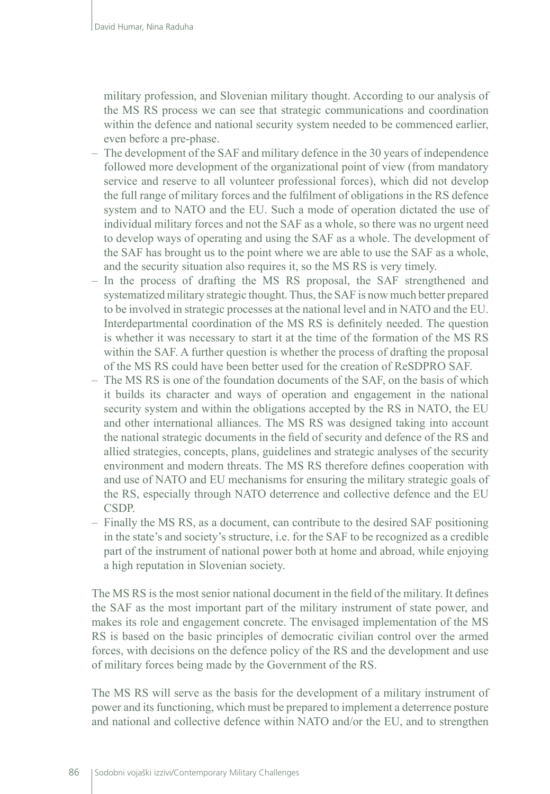military profession, and Slovenian military thought. According to our analysis of the MS RS process we can see that strategic communications and coordination within the defence and national security system needed to be commenced earlier, even before a pre-phase.

- The development of the SAF and military defence in the 30 years of independence followed more development of the organizational point of view (from mandatory service and reserve to all volunteer professional forces), which did not develop the full range of military forces and the fulfilment of obligations in the RS defence system and to NATO and the EU. Such a mode of operation dictated the use of individual military forces and not the SAF as a whole, so there was no urgent need to develop ways of operating and using the SAF as a whole. The development of the SAF has brought us to the point where we are able to use the SAF as a whole, and the security situation also requires it, so the MS RS is very timely.
- In the process of drafting the MS RS proposal, the SAF strengthened and systematized military strategic thought. Thus, the SAF is now much better prepared to be involved in strategic processes at the national level and in NATO and the EU. Interdepartmental coordination of the MS RS is definitely needed. The question is whether it was necessary to start it at the time of the formation of the MS RS within the SAF. A further question is whether the process of drafting the proposal of the MS RS could have been better used for the creation of ReSDPRO SAF.
- The MS RS is one of the foundation documents of the SAF, on the basis of which it builds its character and ways of operation and engagement in the national security system and within the obligations accepted by the RS in NATO, the EU and other international alliances. The MS RS was designed taking into account the national strategic documents in the field of security and defence of the RS and allied strategies, concepts, plans, guidelines and strategic analyses of the security environment and modern threats. The MS RS therefore defines cooperation with and use of NATO and EU mechanisms for ensuring the military strategic goals of the RS, especially through NATO deterrence and collective defence and the EU CSDP.
- Finally the MS RS, as a document, can contribute to the desired SAF positioning in the state's and society's structure, i.e. for the SAF to be recognized as a credible part of the instrument of national power both at home and abroad, while enjoying a high reputation in Slovenian society.

The MS RS is the most senior national document in the field of the military. It defines the SAF as the most important part of the military instrument of state power, and makes its role and engagement concrete. The envisaged implementation of the MS RS is based on the basic principles of democratic civilian control over the armed forces, with decisions on the defence policy of the RS and the development and use of military forces being made by the Government of the RS.

The MS RS will serve as the basis for the development of a military instrument of power and its functioning, which must be prepared to implement a deterrence posture and national and collective defence within NATO and/or the EU, and to strengthen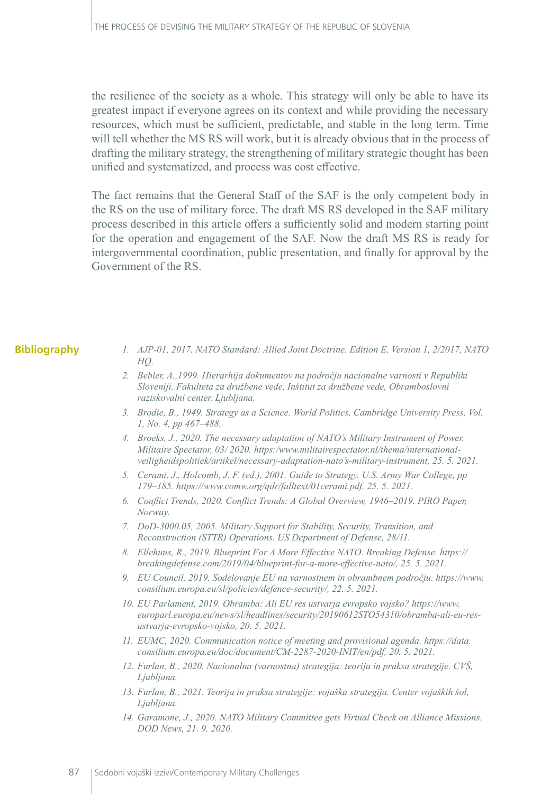the resilience of the society as a whole. This strategy will only be able to have its greatest impact if everyone agrees on its context and while providing the necessary resources, which must be sufficient, predictable, and stable in the long term. Time will tell whether the MS RS will work, but it is already obvious that in the process of drafting the military strategy, the strengthening of military strategic thought has been unified and systematized, and process was cost effective.

The fact remains that the General Staff of the SAF is the only competent body in the RS on the use of military force. The draft MS RS developed in the SAF military process described in this article offers a sufficiently solid and modern starting point for the operation and engagement of the SAF. Now the draft MS RS is ready for intergovernmental coordination, public presentation, and finally for approval by the Government of the RS.

#### **Bibliography**

- *1. AJP-01, 2017. NATO Standard: Allied Joint Doctrine. Edition E, Version 1, 2/2017, NATO HQ.*
- *2. Bebler, A.,1999. Hierarhija dokumentov na področju nacionalne varnosti v Republiki Sloveniji. Fakulteta za družbene vede, Inštitut za družbene vede, Obramboslovni raziskovalni center. Ljubljana.*
- *3. Brodie, B., 1949. Strategy as a Science. World Politics, Cambridge University Press, Vol. 1, No. 4, pp 467–488.*
- *4. Broeks, J., 2020. The necessary adaptation of NATO's Military Instrument of Power. Militaire Spectator, 03/ 2020. https:/www.militairespectator.nl/thema/internationalveiligheidspolitiek/artikel/necessary-adaptation-nato's-military-instrument, 25. 5. 2021.*
- *5. Cerami, J., Holcomb, J. F. (ed.), 2001. Guide to Strategy. U.S. Army War College, pp 179–185. https://www.comw.org/qdr/fulltext/01cerami.pdf, 25. 5. 2021.*
- *6. Conflict Trends, 2020. Conflict Trends: A Global Overview, 1946–2019. PIRO Paper, Norway.*
- *7. DoD-3000.05, 2005. Military Support for Stability, Security, Transition, and Reconstruction (STTR) Operations. US Department of Defense, 28/11.*
- *8. Ellehuus, R., 2019. Blueprint For A More Effective NATO. Breaking Defense. [https://](https://breakingdefense.com/2019/04/blueprint-for-a-more-effective-nato/) [breakingdefense.com/2019/04/blueprint-for-a-more-effective-nato/](https://breakingdefense.com/2019/04/blueprint-for-a-more-effective-nato/), 25. 5. 2021.*
- *9. EU Council, 2019. Sodelovanje EU na varnostnem in obrambnem področju. https://www. consilium.europa.eu/sl/policies/defence-security/, 22. 5. 2021.*
- *10. EU Parlament, 2019. Obramba: Ali EU res ustvarja evropsko vojsko? [https://www.](https://www.europarl.europa.eu/news/sl/headlines/security/20190612STO54310/obramba-ali-eu-res-ustvarja-evropsko-vojsko) [europarl.europa.eu/news/sl/headlines/security/20190612STO54310/obramba-ali-eu-res](https://www.europarl.europa.eu/news/sl/headlines/security/20190612STO54310/obramba-ali-eu-res-ustvarja-evropsko-vojsko)[ustvarja-evropsko-vojsko](https://www.europarl.europa.eu/news/sl/headlines/security/20190612STO54310/obramba-ali-eu-res-ustvarja-evropsko-vojsko), 20. 5. 2021.*
- *11. EUMC, 2020. Communication notice of meeting and provisional agenda. [https://data.](https://data.consilium.europa.eu/doc/document/CM-2287-2020-INIT/en/pdf) [consilium.europa.eu/doc/document/CM-2287-2020-INIT/en/pdf,](https://data.consilium.europa.eu/doc/document/CM-2287-2020-INIT/en/pdf) 20. 5. 2021.*
- *12. Furlan, B., 2020. Nacionalna (varnostna) strategija: teorija in praksa strategije. CVŠ, Ljubljana.*
- *13. Furlan, B., 2021. Teorija in praksa strategije: vojaška strategija. Center vojaških šol, Ljubljana.*
- *14. Garamone, J., 2020. NATO Military Committee gets Virtual Check on Alliance Missions. DOD News, 21. 9. 2020.*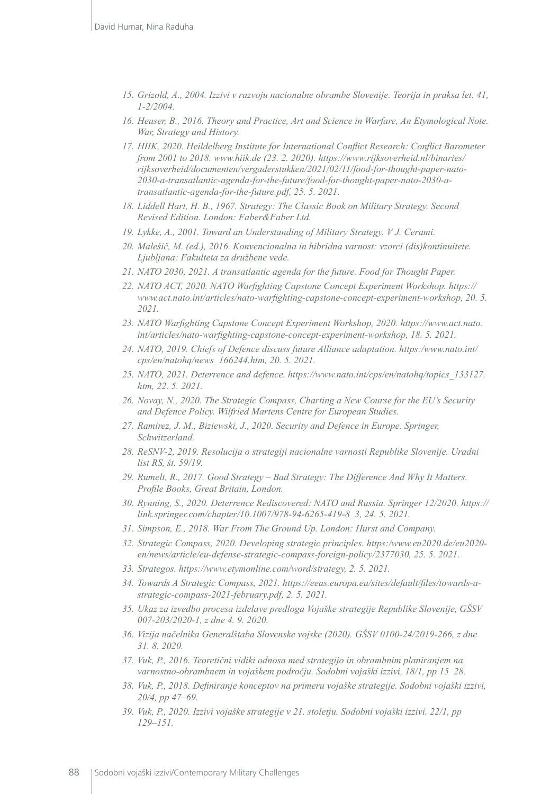- *15. Grizold, A., 2004. Izzivi v razvoju nacionalne obrambe Slovenije. Teorija in praksa let. 41, 1-2/2004.*
- *16. Heuser, B., 2016. Theory and Practice, Art and Science in Warfare, An Etymological Note. War, Strategy and History.*
- *17. HIIK, 2020. Heildelberg Institute for International Conflict Research: Conflict Barometer from 2001 to 2018. www.hiik.de (23. 2. 2020). [https://www.rijksoverheid.nl/binaries/](https://www.rijksoverheid.nl/binaries/rijksoverheid/documenten/vergaderstukken/2021/02/11/food-for-thought-paper-nato-2030-a-transatlantic-agenda-for-the-future/food-for-thought-paper-nato-2030-a-transatlantic-agenda-for-the-future.pdf) [rijksoverheid/documenten/vergaderstukken/2021/02/11/food-for-thought-paper-nato-](https://www.rijksoverheid.nl/binaries/rijksoverheid/documenten/vergaderstukken/2021/02/11/food-for-thought-paper-nato-2030-a-transatlantic-agenda-for-the-future/food-for-thought-paper-nato-2030-a-transatlantic-agenda-for-the-future.pdf)[2030-a-transatlantic-agenda-for-the-future/food-for-thought-paper-nato-2030-a](https://www.rijksoverheid.nl/binaries/rijksoverheid/documenten/vergaderstukken/2021/02/11/food-for-thought-paper-nato-2030-a-transatlantic-agenda-for-the-future/food-for-thought-paper-nato-2030-a-transatlantic-agenda-for-the-future.pdf)[transatlantic-agenda-for-the-future.pdf](https://www.rijksoverheid.nl/binaries/rijksoverheid/documenten/vergaderstukken/2021/02/11/food-for-thought-paper-nato-2030-a-transatlantic-agenda-for-the-future/food-for-thought-paper-nato-2030-a-transatlantic-agenda-for-the-future.pdf), 25. 5. 2021.*
- *18. Liddell Hart, H. B., 1967. Strategy: The Classic Book on Military Strategy. Second Revised Edition. London: Faber&Faber Ltd.*
- *19. Lykke, A., 2001. Toward an Understanding of Military Strategy. V J. Cerami.*
- *20. Malešič, M. (ed.), 2016. Konvencionalna in hibridna varnost: vzorci (dis)kontinuitete. Ljubljana: Fakulteta za družbene vede.*
- *21. NATO 2030, 2021. A transatlantic agenda for the future. Food for Thought Paper.*
- *22. NATO ACT, 2020. NATO Warfighting Capstone Concept Experiment Workshop. [https://](https://www.act.nato.int/articles/nato-warfighting-capstone-concept-experiment-workshop (20) [www.act.nato.int/articles/nato-warfighting-capstone-concept-experiment-workshop, 20](https://www.act.nato.int/articles/nato-warfighting-capstone-concept-experiment-workshop (20). 5. 2021.*
- *23. NATO Warfighting Capstone Concept Experiment Workshop, 2020. [https://www.act.nato.](https://www.act.nato.int/articles/nato-warfighting-capstone-concept-experiment-workshop) [int/articles/nato-warfighting-capstone-concept-experiment-workshop,](https://www.act.nato.int/articles/nato-warfighting-capstone-concept-experiment-workshop) 18. 5. 2021.*
- *24. NATO, 2019. Chiefs of Defence discuss future Alliance adaptation. https:/www.nato.int/ cps/en/natohq/news\_166244.htm, 20. 5. 2021.*
- *25. NATO, 2021. Deterrence and defence. https://www.nato.int/cps/en/natohq/topics\_133127. htm, 22. 5. 2021.*
- *26. Novay, N., 2020. The Strategic Compass, Charting a New Course for the EU's Security and Defence Policy. Wilfried Martens Centre for European Studies.*
- *27. Ramirez, J. M., Biziewski, J., 2020. Security and Defence in Europe. Springer, Schwitzerland.*
- *28. ReSNV-2, 2019. Resolucija o strategiji nacionalne varnosti Republike Slovenije. Uradni list RS, št. 59/19.*
- *29. Rumelt, R., 2017. Good Strategy Bad Strategy: The Difference And Why It Matters. Profile Books, Great Britain, London.*
- *30. Rynning, S., 2020. Deterrence Rediscovered: NATO and Russia. Springer 12/2020. [https://](https://link.springer.com/chapter/10.1007/978-94-6265-419-8_3 (24) [link.springer.com/chapter/10.1007/978-94-6265-419-8\\_3, 24](https://link.springer.com/chapter/10.1007/978-94-6265-419-8_3 (24). 5. 2021.*
- *31. Simpson, E., 2018. War From The Ground Up. London: Hurst and Company.*
- *32. Strategic Compass, 2020. Developing strategic principles. https:/www.eu2020.de/eu2020 en/news/article/eu-defense-strategic-compass-foreign-policy/2377030, 25. 5. 2021.*
- *33. Strategos. [https://www.etymonline.com/word/strategy, 2.](https://www.etymonline.com/word/strategy (2) 5. 2021.*
- *34. Towards A Strategic Compass, 2021. [https://eeas.europa.eu/sites/default/files/towards-a](https://eeas.europa.eu/sites/default/files/towards-a-strategic-compass-2021-february.pdf)[strategic-compass-2021-february.pdf](https://eeas.europa.eu/sites/default/files/towards-a-strategic-compass-2021-february.pdf), 2. 5. 2021.*
- *35. Ukaz za izvedbo procesa izdelave predloga Vojaške strategije Republike Slovenije, GŠSV 007-203/2020-1, z dne 4. 9. 2020.*
- *36. Vizija načelnika Generalštaba Slovenske vojske (2020). GŠSV 0100-24/2019-266, z dne 31. 8. 2020.*
- *37. Vuk, P., 2016. Teoretični vidiki odnosa med strategijo in obrambnim planiranjem na varnostno-obrambnem in vojaškem področju. Sodobni vojaški izzivi, 18/1, pp 15–28.*
- *38. Vuk, P., 2018. Definiranje konceptov na primeru vojaške strategije. Sodobni vojaški izzivi, 20/4, pp 47–69.*
- *39. Vuk, P., 2020. Izzivi vojaške strategije v 21. stoletju. Sodobni vojaški izzivi. 22/1, pp 129–151.*